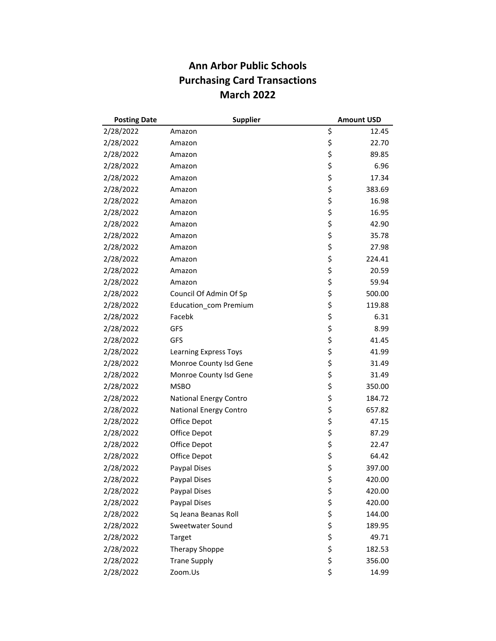## **Ann Arbor Public Schools Purchasing Card Transactions March 2022**

| <b>Posting Date</b> | <b>Supplier</b>        |    | <b>Amount USD</b> |
|---------------------|------------------------|----|-------------------|
| 2/28/2022           | Amazon                 | \$ | 12.45             |
| 2/28/2022           | Amazon                 | \$ | 22.70             |
| 2/28/2022           | Amazon                 | \$ | 89.85             |
| 2/28/2022           | Amazon                 | \$ | 6.96              |
| 2/28/2022           | Amazon                 | \$ | 17.34             |
| 2/28/2022           | Amazon                 | \$ | 383.69            |
| 2/28/2022           | Amazon                 | \$ | 16.98             |
| 2/28/2022           | Amazon                 | \$ | 16.95             |
| 2/28/2022           | Amazon                 | \$ | 42.90             |
| 2/28/2022           | Amazon                 | \$ | 35.78             |
| 2/28/2022           | Amazon                 | \$ | 27.98             |
| 2/28/2022           | Amazon                 | \$ | 224.41            |
| 2/28/2022           | Amazon                 | \$ | 20.59             |
| 2/28/2022           | Amazon                 | \$ | 59.94             |
| 2/28/2022           | Council Of Admin Of Sp | \$ | 500.00            |
| 2/28/2022           | Education com Premium  | \$ | 119.88            |
| 2/28/2022           | Facebk                 | \$ | 6.31              |
| 2/28/2022           | GFS                    | \$ | 8.99              |
| 2/28/2022           | <b>GFS</b>             | \$ | 41.45             |
| 2/28/2022           | Learning Express Toys  | \$ | 41.99             |
| 2/28/2022           | Monroe County Isd Gene | \$ | 31.49             |
| 2/28/2022           | Monroe County Isd Gene | \$ | 31.49             |
| 2/28/2022           | <b>MSBO</b>            | \$ | 350.00            |
| 2/28/2022           | National Energy Contro | \$ | 184.72            |
| 2/28/2022           | National Energy Contro | \$ | 657.82            |
| 2/28/2022           | Office Depot           | \$ | 47.15             |
| 2/28/2022           | Office Depot           | \$ | 87.29             |
| 2/28/2022           | Office Depot           | \$ | 22.47             |
| 2/28/2022           | Office Depot           | \$ | 64.42             |
| 2/28/2022           | Paypal Dises           | \$ | 397.00            |
| 2/28/2022           | Paypal Dises           | Ş  | 420.00            |
| 2/28/2022           | Paypal Dises           | \$ | 420.00            |
| 2/28/2022           | Paypal Dises           | \$ | 420.00            |
| 2/28/2022           | Sq Jeana Beanas Roll   | \$ | 144.00            |
| 2/28/2022           | Sweetwater Sound       | \$ | 189.95            |
| 2/28/2022           | Target                 | \$ | 49.71             |
| 2/28/2022           | <b>Therapy Shoppe</b>  | \$ | 182.53            |
| 2/28/2022           | <b>Trane Supply</b>    | \$ | 356.00            |
| 2/28/2022           | Zoom.Us                | \$ | 14.99             |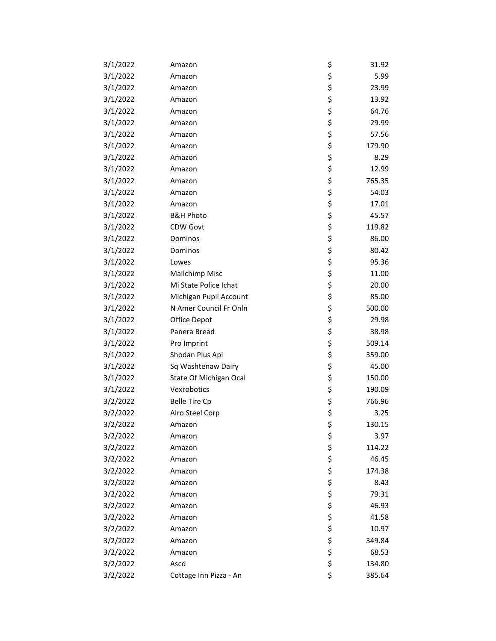| 3/1/2022 | Amazon                 | \$       | 31.92  |
|----------|------------------------|----------|--------|
| 3/1/2022 | Amazon                 | \$       | 5.99   |
| 3/1/2022 | Amazon                 | \$       | 23.99  |
| 3/1/2022 | Amazon                 | \$       | 13.92  |
| 3/1/2022 | Amazon                 | \$       | 64.76  |
| 3/1/2022 | Amazon                 | \$       | 29.99  |
| 3/1/2022 | Amazon                 | \$       | 57.56  |
| 3/1/2022 | Amazon                 | \$       | 179.90 |
| 3/1/2022 | Amazon                 | \$       | 8.29   |
| 3/1/2022 | Amazon                 | \$       | 12.99  |
| 3/1/2022 | Amazon                 | \$       | 765.35 |
| 3/1/2022 | Amazon                 | \$       | 54.03  |
| 3/1/2022 | Amazon                 | \$       | 17.01  |
| 3/1/2022 | <b>B&amp;H Photo</b>   | \$       | 45.57  |
| 3/1/2022 | CDW Govt               | \$       | 119.82 |
| 3/1/2022 | Dominos                | \$       | 86.00  |
| 3/1/2022 | Dominos                | \$       | 80.42  |
| 3/1/2022 | Lowes                  | \$       | 95.36  |
| 3/1/2022 | <b>Mailchimp Misc</b>  | \$       | 11.00  |
| 3/1/2022 | Mi State Police Ichat  | \$       | 20.00  |
| 3/1/2022 | Michigan Pupil Account | \$       | 85.00  |
| 3/1/2022 | N Amer Council Fr Onln | \$       | 500.00 |
| 3/1/2022 | Office Depot           | \$       | 29.98  |
| 3/1/2022 | Panera Bread           | \$       | 38.98  |
| 3/1/2022 | Pro Imprint            | \$       | 509.14 |
| 3/1/2022 | Shodan Plus Api        | \$       | 359.00 |
| 3/1/2022 | Sq Washtenaw Dairy     | \$       | 45.00  |
| 3/1/2022 | State Of Michigan Ocal | \$       | 150.00 |
| 3/1/2022 | Vexrobotics            | \$       | 190.09 |
| 3/2/2022 | <b>Belle Tire Cp</b>   | \$       | 766.96 |
| 3/2/2022 | Alro Steel Corp        | \$       | 3.25   |
| 3/2/2022 | Amazon                 | Ş        | 130.15 |
| 3/2/2022 | Amazon                 | \$       | 3.97   |
| 3/2/2022 | Amazon                 | \$       | 114.22 |
| 3/2/2022 | Amazon                 | \$       | 46.45  |
| 3/2/2022 | Amazon                 | \$       | 174.38 |
| 3/2/2022 | Amazon                 | \$       | 8.43   |
| 3/2/2022 | Amazon                 | \$       | 79.31  |
| 3/2/2022 | Amazon                 | \$       | 46.93  |
| 3/2/2022 | Amazon                 | \$<br>\$ | 41.58  |
| 3/2/2022 | Amazon                 |          | 10.97  |
| 3/2/2022 | Amazon                 | \$       | 349.84 |
| 3/2/2022 | Amazon                 | \$       | 68.53  |
| 3/2/2022 | Ascd                   | \$       | 134.80 |
| 3/2/2022 | Cottage Inn Pizza - An | \$       | 385.64 |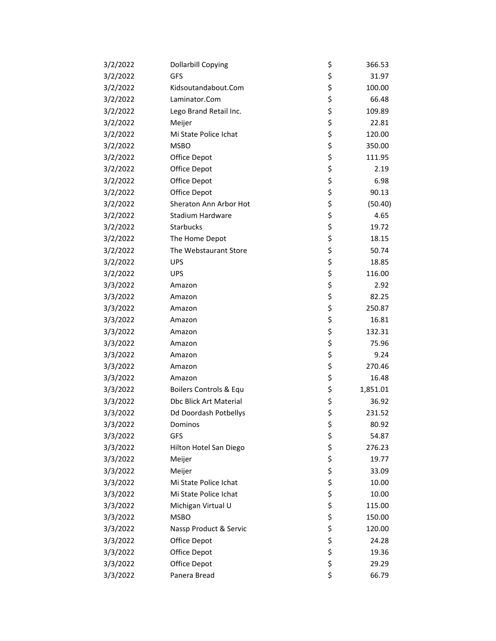| 3/2/2022 | <b>Dollarbill Copying</b>     | \$<br>366.53   |
|----------|-------------------------------|----------------|
| 3/2/2022 | GFS                           | \$<br>31.97    |
| 3/2/2022 | Kidsoutandabout.Com           | \$<br>100.00   |
| 3/2/2022 | Laminator.Com                 | \$<br>66.48    |
| 3/2/2022 | Lego Brand Retail Inc.        | \$<br>109.89   |
| 3/2/2022 | Meijer                        | \$<br>22.81    |
| 3/2/2022 | Mi State Police Ichat         | \$<br>120.00   |
| 3/2/2022 | <b>MSBO</b>                   | \$<br>350.00   |
| 3/2/2022 | Office Depot                  | \$<br>111.95   |
| 3/2/2022 | Office Depot                  | \$<br>2.19     |
| 3/2/2022 | Office Depot                  | \$<br>6.98     |
| 3/2/2022 | Office Depot                  | \$<br>90.13    |
| 3/2/2022 | Sheraton Ann Arbor Hot        | \$<br>(50.40)  |
| 3/2/2022 | Stadium Hardware              | \$<br>4.65     |
| 3/2/2022 | Starbucks                     | \$<br>19.72    |
| 3/2/2022 | The Home Depot                | \$<br>18.15    |
| 3/2/2022 | The Webstaurant Store         | \$<br>50.74    |
| 3/2/2022 | <b>UPS</b>                    | \$<br>18.85    |
| 3/2/2022 | <b>UPS</b>                    | \$<br>116.00   |
| 3/3/2022 | Amazon                        | \$<br>2.92     |
| 3/3/2022 | Amazon                        | \$<br>82.25    |
| 3/3/2022 | Amazon                        | \$<br>250.87   |
| 3/3/2022 | Amazon                        | \$<br>16.81    |
| 3/3/2022 | Amazon                        | \$<br>132.31   |
| 3/3/2022 | Amazon                        | \$<br>75.96    |
| 3/3/2022 | Amazon                        | \$<br>9.24     |
| 3/3/2022 | Amazon                        | \$<br>270.46   |
| 3/3/2022 | Amazon                        | \$<br>16.48    |
| 3/3/2022 | Boilers Controls & Equ        | \$<br>1,851.01 |
| 3/3/2022 | <b>Dbc Blick Art Material</b> | \$<br>36.92    |
| 3/3/2022 | Dd Doordash Potbellys         | \$<br>231.52   |
| 3/3/2022 | Dominos                       | \$<br>80.92    |
| 3/3/2022 | GFS                           | \$<br>54.87    |
| 3/3/2022 | Hilton Hotel San Diego        | \$<br>276.23   |
| 3/3/2022 | Meijer                        | \$<br>19.77    |
| 3/3/2022 | Meijer                        | \$<br>33.09    |
| 3/3/2022 | Mi State Police Ichat         | \$<br>10.00    |
| 3/3/2022 | Mi State Police Ichat         | \$<br>10.00    |
| 3/3/2022 | Michigan Virtual U            | \$<br>115.00   |
| 3/3/2022 | <b>MSBO</b>                   | \$<br>150.00   |
| 3/3/2022 | Nassp Product & Servic        | \$<br>120.00   |
| 3/3/2022 | Office Depot                  | \$<br>24.28    |
| 3/3/2022 | Office Depot                  | \$<br>19.36    |
| 3/3/2022 | Office Depot                  | \$<br>29.29    |
| 3/3/2022 | Panera Bread                  | \$<br>66.79    |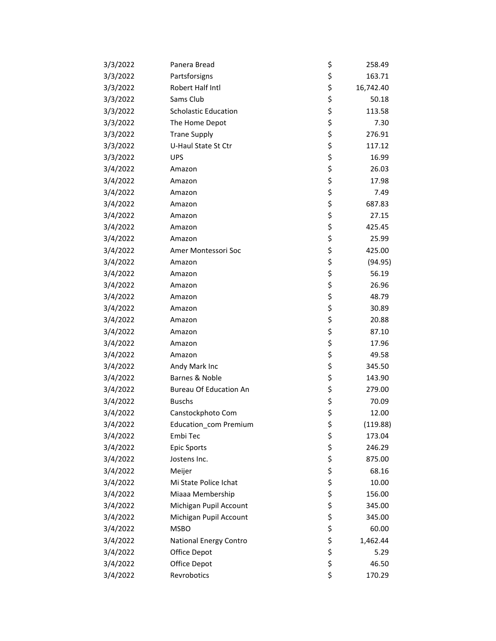| 3/3/2022 | Panera Bread                  | \$<br>258.49    |
|----------|-------------------------------|-----------------|
| 3/3/2022 | Partsforsigns                 | \$<br>163.71    |
| 3/3/2022 | Robert Half Intl              | \$<br>16,742.40 |
| 3/3/2022 | Sams Club                     | \$<br>50.18     |
| 3/3/2022 | <b>Scholastic Education</b>   | \$<br>113.58    |
| 3/3/2022 | The Home Depot                | \$<br>7.30      |
| 3/3/2022 | <b>Trane Supply</b>           | \$<br>276.91    |
| 3/3/2022 | U-Haul State St Ctr           | \$<br>117.12    |
| 3/3/2022 | <b>UPS</b>                    | \$<br>16.99     |
| 3/4/2022 | Amazon                        | \$<br>26.03     |
| 3/4/2022 | Amazon                        | \$<br>17.98     |
| 3/4/2022 | Amazon                        | \$<br>7.49      |
| 3/4/2022 | Amazon                        | \$<br>687.83    |
| 3/4/2022 | Amazon                        | \$<br>27.15     |
| 3/4/2022 | Amazon                        | \$<br>425.45    |
| 3/4/2022 | Amazon                        | \$<br>25.99     |
| 3/4/2022 | Amer Montessori Soc           | \$<br>425.00    |
| 3/4/2022 | Amazon                        | \$<br>(94.95)   |
| 3/4/2022 | Amazon                        | \$<br>56.19     |
| 3/4/2022 | Amazon                        | \$<br>26.96     |
| 3/4/2022 | Amazon                        | \$<br>48.79     |
| 3/4/2022 | Amazon                        | \$<br>30.89     |
| 3/4/2022 | Amazon                        | \$<br>20.88     |
| 3/4/2022 | Amazon                        | \$<br>87.10     |
| 3/4/2022 | Amazon                        | \$<br>17.96     |
| 3/4/2022 | Amazon                        | \$<br>49.58     |
| 3/4/2022 | Andy Mark Inc                 | \$<br>345.50    |
| 3/4/2022 | Barnes & Noble                | \$<br>143.90    |
| 3/4/2022 | <b>Bureau Of Education An</b> | \$<br>279.00    |
| 3/4/2022 | <b>Buschs</b>                 | \$<br>70.09     |
| 3/4/2022 | Canstockphoto Com             | \$<br>12.00     |
| 3/4/2022 | Education_com Premium         | \$<br>(119.88)  |
| 3/4/2022 | Embi Tec                      | \$<br>173.04    |
| 3/4/2022 | <b>Epic Sports</b>            | \$<br>246.29    |
| 3/4/2022 | Jostens Inc.                  | \$<br>875.00    |
| 3/4/2022 | Meijer                        | \$<br>68.16     |
| 3/4/2022 | Mi State Police Ichat         | \$<br>10.00     |
| 3/4/2022 | Miaaa Membership              | \$<br>156.00    |
| 3/4/2022 | Michigan Pupil Account        | \$<br>345.00    |
| 3/4/2022 | Michigan Pupil Account        | \$<br>345.00    |
| 3/4/2022 | <b>MSBO</b>                   | \$<br>60.00     |
| 3/4/2022 | National Energy Contro        | \$<br>1,462.44  |
| 3/4/2022 | Office Depot                  | \$<br>5.29      |
| 3/4/2022 | Office Depot                  | \$<br>46.50     |
| 3/4/2022 | Revrobotics                   | \$<br>170.29    |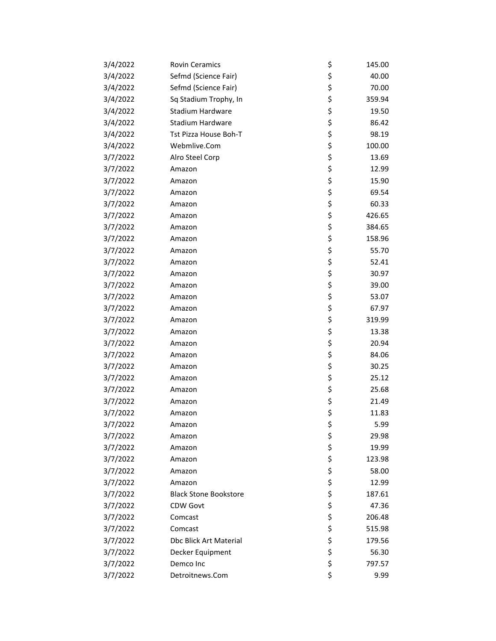| 3/4/2022 | <b>Rovin Ceramics</b>        | \$ | 145.00 |
|----------|------------------------------|----|--------|
| 3/4/2022 | Sefmd (Science Fair)         | \$ | 40.00  |
| 3/4/2022 | Sefmd (Science Fair)         | \$ | 70.00  |
| 3/4/2022 | Sq Stadium Trophy, In        | \$ | 359.94 |
| 3/4/2022 | <b>Stadium Hardware</b>      | \$ | 19.50  |
| 3/4/2022 | Stadium Hardware             | \$ | 86.42  |
| 3/4/2022 | Tst Pizza House Boh-T        | \$ | 98.19  |
| 3/4/2022 | Webmlive.Com                 | \$ | 100.00 |
| 3/7/2022 | Alro Steel Corp              | \$ | 13.69  |
| 3/7/2022 | Amazon                       | \$ | 12.99  |
| 3/7/2022 | Amazon                       | \$ | 15.90  |
| 3/7/2022 | Amazon                       | \$ | 69.54  |
| 3/7/2022 | Amazon                       | \$ | 60.33  |
| 3/7/2022 | Amazon                       | \$ | 426.65 |
| 3/7/2022 | Amazon                       | \$ | 384.65 |
| 3/7/2022 | Amazon                       | \$ | 158.96 |
| 3/7/2022 | Amazon                       | \$ | 55.70  |
| 3/7/2022 | Amazon                       | \$ | 52.41  |
| 3/7/2022 | Amazon                       | \$ | 30.97  |
| 3/7/2022 | Amazon                       | \$ | 39.00  |
| 3/7/2022 | Amazon                       | \$ | 53.07  |
| 3/7/2022 | Amazon                       | \$ | 67.97  |
| 3/7/2022 | Amazon                       | \$ | 319.99 |
| 3/7/2022 | Amazon                       | \$ | 13.38  |
| 3/7/2022 | Amazon                       | \$ | 20.94  |
| 3/7/2022 | Amazon                       | \$ | 84.06  |
| 3/7/2022 | Amazon                       | \$ | 30.25  |
| 3/7/2022 | Amazon                       | \$ | 25.12  |
| 3/7/2022 | Amazon                       | \$ | 25.68  |
| 3/7/2022 | Amazon                       | \$ | 21.49  |
| 3/7/2022 | Amazon                       | \$ | 11.83  |
| 3/7/2022 | Amazon                       | Ş  | 5.99   |
| 3/7/2022 | Amazon                       | \$ | 29.98  |
| 3/7/2022 | Amazon                       | \$ | 19.99  |
| 3/7/2022 | Amazon                       | \$ | 123.98 |
| 3/7/2022 | Amazon                       | \$ | 58.00  |
| 3/7/2022 | Amazon                       | \$ | 12.99  |
| 3/7/2022 | <b>Black Stone Bookstore</b> | \$ | 187.61 |
| 3/7/2022 | CDW Govt                     | \$ | 47.36  |
| 3/7/2022 | Comcast                      | \$ | 206.48 |
| 3/7/2022 | Comcast                      | \$ | 515.98 |
| 3/7/2022 | Dbc Blick Art Material       | \$ | 179.56 |
| 3/7/2022 | Decker Equipment             | \$ | 56.30  |
| 3/7/2022 | Demco Inc                    | \$ | 797.57 |
| 3/7/2022 | Detroitnews.Com              | \$ | 9.99   |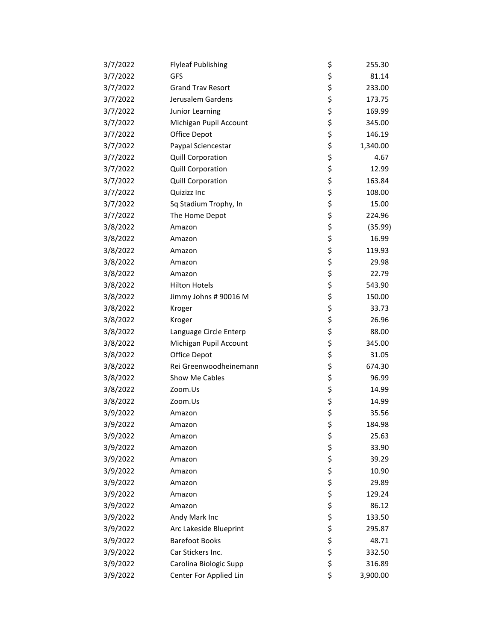| 3/7/2022 | <b>Flyleaf Publishing</b> | \$ | 255.30   |
|----------|---------------------------|----|----------|
| 3/7/2022 | <b>GFS</b>                | \$ | 81.14    |
| 3/7/2022 | <b>Grand Trav Resort</b>  | \$ | 233.00   |
| 3/7/2022 | Jerusalem Gardens         | \$ | 173.75   |
| 3/7/2022 | Junior Learning           | \$ | 169.99   |
| 3/7/2022 | Michigan Pupil Account    | \$ | 345.00   |
| 3/7/2022 | Office Depot              | \$ | 146.19   |
| 3/7/2022 | Paypal Sciencestar        | \$ | 1,340.00 |
| 3/7/2022 | <b>Quill Corporation</b>  | \$ | 4.67     |
| 3/7/2022 | Quill Corporation         | \$ | 12.99    |
| 3/7/2022 | <b>Quill Corporation</b>  | \$ | 163.84   |
| 3/7/2022 | Quizizz Inc               | \$ | 108.00   |
| 3/7/2022 | Sq Stadium Trophy, In     | \$ | 15.00    |
| 3/7/2022 | The Home Depot            | \$ | 224.96   |
| 3/8/2022 | Amazon                    | \$ | (35.99)  |
| 3/8/2022 | Amazon                    | \$ | 16.99    |
| 3/8/2022 | Amazon                    | \$ | 119.93   |
| 3/8/2022 | Amazon                    | \$ | 29.98    |
| 3/8/2022 | Amazon                    | \$ | 22.79    |
| 3/8/2022 | <b>Hilton Hotels</b>      | \$ | 543.90   |
| 3/8/2022 | Jimmy Johns # 90016 M     | \$ | 150.00   |
| 3/8/2022 | Kroger                    | \$ | 33.73    |
| 3/8/2022 | Kroger                    | \$ | 26.96    |
| 3/8/2022 | Language Circle Enterp    | \$ | 88.00    |
| 3/8/2022 | Michigan Pupil Account    | \$ | 345.00   |
| 3/8/2022 | Office Depot              | \$ | 31.05    |
| 3/8/2022 | Rei Greenwoodheinemann    | \$ | 674.30   |
| 3/8/2022 | Show Me Cables            | \$ | 96.99    |
| 3/8/2022 | Zoom.Us                   | \$ | 14.99    |
| 3/8/2022 | Zoom.Us                   | \$ | 14.99    |
| 3/9/2022 | Amazon                    | \$ | 35.56    |
| 3/9/2022 | Amazon                    | Ş  | 184.98   |
| 3/9/2022 | Amazon                    | \$ | 25.63    |
| 3/9/2022 | Amazon                    | \$ | 33.90    |
| 3/9/2022 | Amazon                    | \$ | 39.29    |
| 3/9/2022 | Amazon                    | \$ | 10.90    |
| 3/9/2022 | Amazon                    | \$ | 29.89    |
| 3/9/2022 | Amazon                    | \$ | 129.24   |
| 3/9/2022 | Amazon                    | \$ | 86.12    |
| 3/9/2022 | Andy Mark Inc             | \$ | 133.50   |
| 3/9/2022 | Arc Lakeside Blueprint    | \$ | 295.87   |
| 3/9/2022 | <b>Barefoot Books</b>     | \$ | 48.71    |
| 3/9/2022 | Car Stickers Inc.         | \$ | 332.50   |
| 3/9/2022 | Carolina Biologic Supp    | \$ | 316.89   |
| 3/9/2022 | Center For Applied Lin    | \$ | 3,900.00 |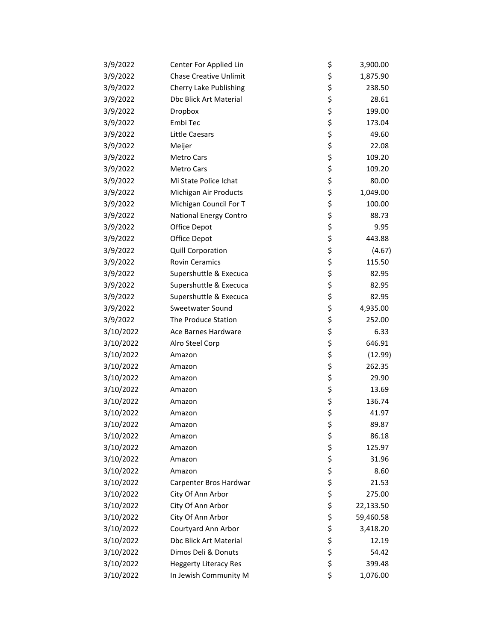| 3/9/2022  | Center For Applied Lin        | \$<br>3,900.00  |
|-----------|-------------------------------|-----------------|
| 3/9/2022  | <b>Chase Creative Unlimit</b> | \$<br>1,875.90  |
| 3/9/2022  | <b>Cherry Lake Publishing</b> | \$<br>238.50    |
| 3/9/2022  | Dbc Blick Art Material        | \$<br>28.61     |
| 3/9/2022  | Dropbox                       | \$<br>199.00    |
| 3/9/2022  | Embi Tec                      | \$<br>173.04    |
| 3/9/2022  | Little Caesars                | \$<br>49.60     |
| 3/9/2022  | Meijer                        | \$<br>22.08     |
| 3/9/2022  | <b>Metro Cars</b>             | \$<br>109.20    |
| 3/9/2022  | <b>Metro Cars</b>             | \$<br>109.20    |
| 3/9/2022  | Mi State Police Ichat         | \$<br>80.00     |
| 3/9/2022  | Michigan Air Products         | \$<br>1,049.00  |
| 3/9/2022  | Michigan Council For T        | \$<br>100.00    |
| 3/9/2022  | <b>National Energy Contro</b> | \$<br>88.73     |
| 3/9/2022  | Office Depot                  | \$<br>9.95      |
| 3/9/2022  | Office Depot                  | \$<br>443.88    |
| 3/9/2022  | Quill Corporation             | \$<br>(4.67)    |
| 3/9/2022  | <b>Rovin Ceramics</b>         | \$<br>115.50    |
| 3/9/2022  | Supershuttle & Execuca        | \$<br>82.95     |
| 3/9/2022  | Supershuttle & Execuca        | \$<br>82.95     |
| 3/9/2022  | Supershuttle & Execuca        | \$<br>82.95     |
| 3/9/2022  | Sweetwater Sound              | \$<br>4,935.00  |
| 3/9/2022  | The Produce Station           | \$<br>252.00    |
| 3/10/2022 | Ace Barnes Hardware           | \$<br>6.33      |
| 3/10/2022 | Alro Steel Corp               | \$<br>646.91    |
| 3/10/2022 | Amazon                        | \$<br>(12.99)   |
| 3/10/2022 | Amazon                        | \$<br>262.35    |
| 3/10/2022 | Amazon                        | \$<br>29.90     |
| 3/10/2022 | Amazon                        | \$<br>13.69     |
| 3/10/2022 | Amazon                        | \$<br>136.74    |
| 3/10/2022 | Amazon                        | \$<br>41.97     |
| 3/10/2022 | Amazon                        | \$<br>89.87     |
| 3/10/2022 | Amazon                        | \$<br>86.18     |
| 3/10/2022 | Amazon                        | \$<br>125.97    |
| 3/10/2022 | Amazon                        | \$<br>31.96     |
| 3/10/2022 | Amazon                        | \$<br>8.60      |
| 3/10/2022 | Carpenter Bros Hardwar        | \$<br>21.53     |
| 3/10/2022 | City Of Ann Arbor             | \$<br>275.00    |
| 3/10/2022 | City Of Ann Arbor             | \$<br>22,133.50 |
| 3/10/2022 | City Of Ann Arbor             | \$<br>59,460.58 |
| 3/10/2022 | Courtyard Ann Arbor           | \$<br>3,418.20  |
| 3/10/2022 | Dbc Blick Art Material        | \$<br>12.19     |
| 3/10/2022 | Dimos Deli & Donuts           | \$<br>54.42     |
| 3/10/2022 | <b>Heggerty Literacy Res</b>  | \$<br>399.48    |
| 3/10/2022 | In Jewish Community M         | \$<br>1,076.00  |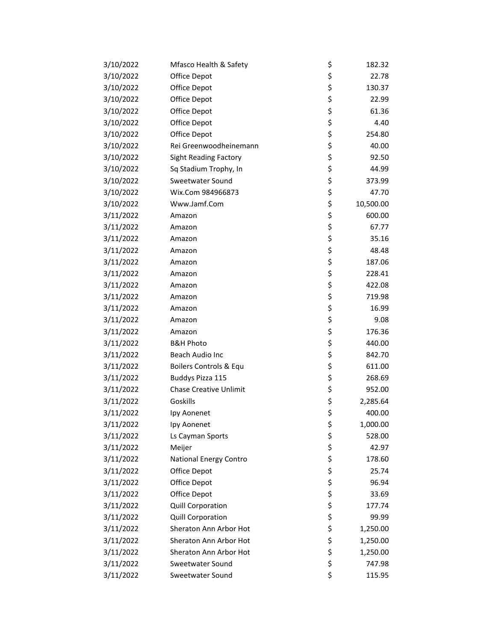| 3/10/2022 | Mfasco Health & Safety        | \$ | 182.32    |
|-----------|-------------------------------|----|-----------|
| 3/10/2022 | Office Depot                  | \$ | 22.78     |
| 3/10/2022 | Office Depot                  | \$ | 130.37    |
| 3/10/2022 | Office Depot                  | \$ | 22.99     |
| 3/10/2022 | Office Depot                  | \$ | 61.36     |
| 3/10/2022 | Office Depot                  | \$ | 4.40      |
| 3/10/2022 | Office Depot                  | \$ | 254.80    |
| 3/10/2022 | Rei Greenwoodheinemann        | \$ | 40.00     |
| 3/10/2022 | <b>Sight Reading Factory</b>  | \$ | 92.50     |
| 3/10/2022 | Sq Stadium Trophy, In         | \$ | 44.99     |
| 3/10/2022 | Sweetwater Sound              | \$ | 373.99    |
| 3/10/2022 | Wix.Com 984966873             | \$ | 47.70     |
| 3/10/2022 | Www.Jamf.Com                  | \$ | 10,500.00 |
| 3/11/2022 | Amazon                        | \$ | 600.00    |
| 3/11/2022 | Amazon                        | \$ | 67.77     |
| 3/11/2022 | Amazon                        | \$ | 35.16     |
| 3/11/2022 | Amazon                        | \$ | 48.48     |
| 3/11/2022 | Amazon                        | \$ | 187.06    |
| 3/11/2022 | Amazon                        | \$ | 228.41    |
| 3/11/2022 | Amazon                        | \$ | 422.08    |
| 3/11/2022 | Amazon                        | \$ | 719.98    |
| 3/11/2022 | Amazon                        | \$ | 16.99     |
| 3/11/2022 | Amazon                        | \$ | 9.08      |
| 3/11/2022 | Amazon                        | \$ | 176.36    |
| 3/11/2022 | <b>B&amp;H Photo</b>          | \$ | 440.00    |
| 3/11/2022 | Beach Audio Inc               | \$ | 842.70    |
| 3/11/2022 | Boilers Controls & Equ        | \$ | 611.00    |
| 3/11/2022 | Buddys Pizza 115              | \$ | 268.69    |
| 3/11/2022 | <b>Chase Creative Unlimit</b> | \$ | 952.00    |
| 3/11/2022 | Goskills                      | \$ | 2,285.64  |
| 3/11/2022 | Ipy Aonenet                   | \$ | 400.00    |
| 3/11/2022 | Ipy Aonenet                   | Ş  | 1,000.00  |
| 3/11/2022 | Ls Cayman Sports              | \$ | 528.00    |
| 3/11/2022 | Meijer                        | \$ | 42.97     |
| 3/11/2022 | National Energy Contro        | \$ | 178.60    |
| 3/11/2022 | Office Depot                  | \$ | 25.74     |
| 3/11/2022 | Office Depot                  | \$ | 96.94     |
| 3/11/2022 | Office Depot                  | \$ | 33.69     |
| 3/11/2022 | <b>Quill Corporation</b>      | \$ | 177.74    |
| 3/11/2022 | Quill Corporation             | \$ | 99.99     |
| 3/11/2022 | Sheraton Ann Arbor Hot        | \$ | 1,250.00  |
| 3/11/2022 | Sheraton Ann Arbor Hot        | \$ | 1,250.00  |
| 3/11/2022 | Sheraton Ann Arbor Hot        | \$ | 1,250.00  |
| 3/11/2022 | Sweetwater Sound              | \$ | 747.98    |
| 3/11/2022 | Sweetwater Sound              | \$ | 115.95    |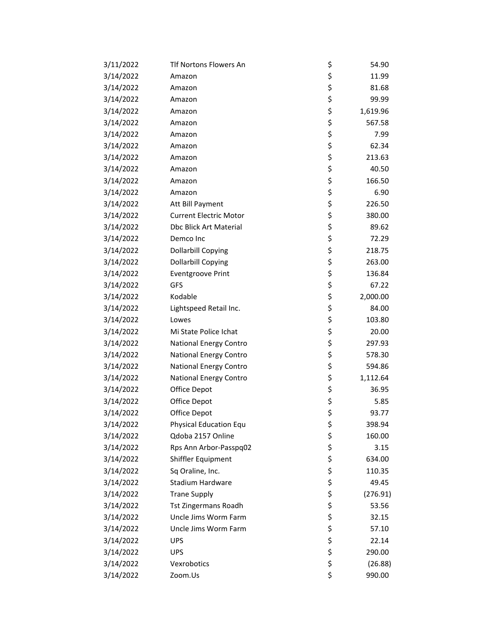| 3/11/2022 | Tlf Nortons Flowers An        | \$ | 54.90    |
|-----------|-------------------------------|----|----------|
| 3/14/2022 | Amazon                        | \$ | 11.99    |
| 3/14/2022 | Amazon                        | \$ | 81.68    |
| 3/14/2022 | Amazon                        | \$ | 99.99    |
| 3/14/2022 | Amazon                        | \$ | 1,619.96 |
| 3/14/2022 | Amazon                        | \$ | 567.58   |
| 3/14/2022 | Amazon                        | \$ | 7.99     |
| 3/14/2022 | Amazon                        | \$ | 62.34    |
| 3/14/2022 | Amazon                        | \$ | 213.63   |
| 3/14/2022 | Amazon                        | \$ | 40.50    |
| 3/14/2022 | Amazon                        | \$ | 166.50   |
| 3/14/2022 | Amazon                        | \$ | 6.90     |
| 3/14/2022 | Att Bill Payment              | \$ | 226.50   |
| 3/14/2022 | <b>Current Electric Motor</b> | \$ | 380.00   |
| 3/14/2022 | <b>Dbc Blick Art Material</b> | \$ | 89.62    |
| 3/14/2022 | Demco Inc                     | \$ | 72.29    |
| 3/14/2022 | <b>Dollarbill Copying</b>     | \$ | 218.75   |
| 3/14/2022 | <b>Dollarbill Copying</b>     | \$ | 263.00   |
| 3/14/2022 | <b>Eventgroove Print</b>      | \$ | 136.84   |
| 3/14/2022 | <b>GFS</b>                    | \$ | 67.22    |
| 3/14/2022 | Kodable                       | \$ | 2,000.00 |
| 3/14/2022 | Lightspeed Retail Inc.        | \$ | 84.00    |
| 3/14/2022 | Lowes                         | \$ | 103.80   |
| 3/14/2022 | Mi State Police Ichat         | \$ | 20.00    |
| 3/14/2022 | National Energy Contro        | \$ | 297.93   |
| 3/14/2022 | National Energy Contro        | \$ | 578.30   |
| 3/14/2022 | <b>National Energy Contro</b> | \$ | 594.86   |
| 3/14/2022 | National Energy Contro        | \$ | 1,112.64 |
| 3/14/2022 | Office Depot                  | \$ | 36.95    |
| 3/14/2022 | Office Depot                  | \$ | 5.85     |
| 3/14/2022 | Office Depot                  | \$ | 93.77    |
| 3/14/2022 | <b>Physical Education Equ</b> | Ş  | 398.94   |
| 3/14/2022 | Qdoba 2157 Online             | \$ | 160.00   |
| 3/14/2022 | Rps Ann Arbor-Passpq02        | \$ | 3.15     |
| 3/14/2022 | Shiffler Equipment            | \$ | 634.00   |
| 3/14/2022 | Sq Oraline, Inc.              | \$ | 110.35   |
| 3/14/2022 | <b>Stadium Hardware</b>       | \$ | 49.45    |
| 3/14/2022 | <b>Trane Supply</b>           | \$ | (276.91) |
| 3/14/2022 | <b>Tst Zingermans Roadh</b>   | \$ | 53.56    |
| 3/14/2022 | Uncle Jims Worm Farm          | \$ | 32.15    |
| 3/14/2022 | Uncle Jims Worm Farm          | \$ | 57.10    |
| 3/14/2022 | <b>UPS</b>                    | \$ | 22.14    |
| 3/14/2022 | <b>UPS</b>                    | \$ | 290.00   |
| 3/14/2022 | Vexrobotics                   | \$ | (26.88)  |
| 3/14/2022 | Zoom.Us                       | \$ | 990.00   |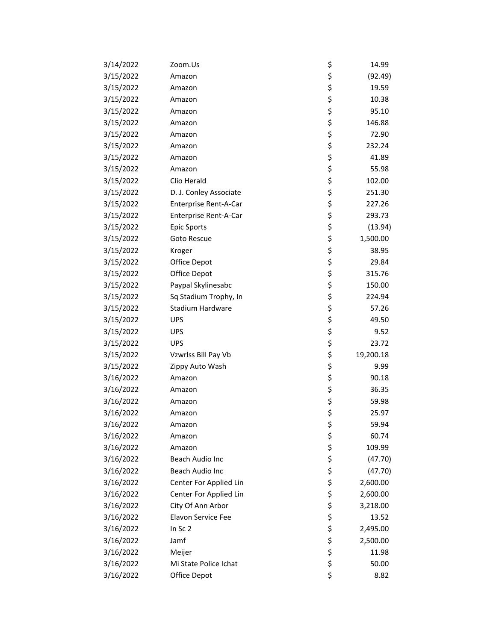| 3/14/2022 | Zoom.Us                | \$ | 14.99     |
|-----------|------------------------|----|-----------|
| 3/15/2022 | Amazon                 | \$ | (92.49)   |
| 3/15/2022 | Amazon                 | \$ | 19.59     |
| 3/15/2022 | Amazon                 | \$ | 10.38     |
| 3/15/2022 | Amazon                 | \$ | 95.10     |
| 3/15/2022 | Amazon                 | \$ | 146.88    |
| 3/15/2022 | Amazon                 | \$ | 72.90     |
| 3/15/2022 | Amazon                 | \$ | 232.24    |
| 3/15/2022 | Amazon                 | \$ | 41.89     |
| 3/15/2022 | Amazon                 | \$ | 55.98     |
| 3/15/2022 | Clio Herald            | \$ | 102.00    |
| 3/15/2022 | D. J. Conley Associate | \$ | 251.30    |
| 3/15/2022 | Enterprise Rent-A-Car  | \$ | 227.26    |
| 3/15/2022 | Enterprise Rent-A-Car  | \$ | 293.73    |
| 3/15/2022 | <b>Epic Sports</b>     | \$ | (13.94)   |
| 3/15/2022 | Goto Rescue            | \$ | 1,500.00  |
| 3/15/2022 | Kroger                 | \$ | 38.95     |
| 3/15/2022 | Office Depot           | \$ | 29.84     |
| 3/15/2022 | Office Depot           | \$ | 315.76    |
| 3/15/2022 | Paypal Skylinesabc     | \$ | 150.00    |
| 3/15/2022 | Sq Stadium Trophy, In  | \$ | 224.94    |
| 3/15/2022 | Stadium Hardware       | \$ | 57.26     |
| 3/15/2022 | <b>UPS</b>             | \$ | 49.50     |
| 3/15/2022 | <b>UPS</b>             | \$ | 9.52      |
| 3/15/2022 | <b>UPS</b>             | \$ | 23.72     |
| 3/15/2022 | Vzwrlss Bill Pay Vb    | \$ | 19,200.18 |
| 3/15/2022 | Zippy Auto Wash        | \$ | 9.99      |
| 3/16/2022 | Amazon                 | \$ | 90.18     |
| 3/16/2022 | Amazon                 | \$ | 36.35     |
| 3/16/2022 | Amazon                 | \$ | 59.98     |
| 3/16/2022 | Amazon                 | \$ | 25.97     |
| 3/16/2022 | Amazon                 | Ş  | 59.94     |
| 3/16/2022 | Amazon                 | \$ | 60.74     |
| 3/16/2022 | Amazon                 | \$ | 109.99    |
| 3/16/2022 | Beach Audio Inc        | \$ | (47.70)   |
| 3/16/2022 | Beach Audio Inc        | \$ | (47.70)   |
| 3/16/2022 | Center For Applied Lin | \$ | 2,600.00  |
| 3/16/2022 | Center For Applied Lin | \$ | 2,600.00  |
| 3/16/2022 | City Of Ann Arbor      | \$ | 3,218.00  |
| 3/16/2022 | Elavon Service Fee     | \$ | 13.52     |
| 3/16/2022 | In Sc 2                | \$ | 2,495.00  |
| 3/16/2022 | Jamf                   | \$ | 2,500.00  |
| 3/16/2022 | Meijer                 | \$ | 11.98     |
| 3/16/2022 | Mi State Police Ichat  | \$ | 50.00     |
| 3/16/2022 | Office Depot           | \$ | 8.82      |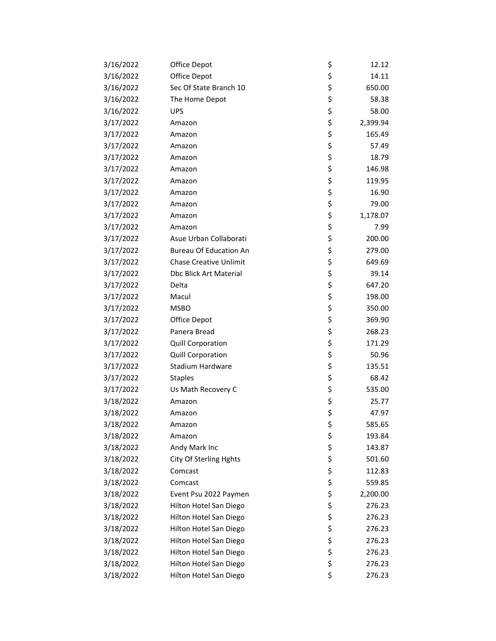| 3/16/2022 | Office Depot                  | \$<br>12.12    |
|-----------|-------------------------------|----------------|
| 3/16/2022 | Office Depot                  | \$<br>14.11    |
| 3/16/2022 | Sec Of State Branch 10        | \$<br>650.00   |
| 3/16/2022 | The Home Depot                | \$<br>58.38    |
| 3/16/2022 | <b>UPS</b>                    | \$<br>58.00    |
| 3/17/2022 | Amazon                        | \$<br>2,399.94 |
| 3/17/2022 | Amazon                        | \$<br>165.49   |
| 3/17/2022 | Amazon                        | \$<br>57.49    |
| 3/17/2022 | Amazon                        | \$<br>18.79    |
| 3/17/2022 | Amazon                        | \$<br>146.98   |
| 3/17/2022 | Amazon                        | \$<br>119.95   |
| 3/17/2022 | Amazon                        | \$<br>16.90    |
| 3/17/2022 | Amazon                        | \$<br>79.00    |
| 3/17/2022 | Amazon                        | \$<br>1,178.07 |
| 3/17/2022 | Amazon                        | \$<br>7.99     |
| 3/17/2022 | Asue Urban Collaborati        | \$<br>200.00   |
| 3/17/2022 | <b>Bureau Of Education An</b> | \$<br>279.00   |
| 3/17/2022 | <b>Chase Creative Unlimit</b> | \$<br>649.69   |
| 3/17/2022 | Dbc Blick Art Material        | \$<br>39.14    |
| 3/17/2022 | Delta                         | \$<br>647.20   |
| 3/17/2022 | Macul                         | \$<br>198.00   |
| 3/17/2022 | <b>MSBO</b>                   | \$<br>350.00   |
| 3/17/2022 | Office Depot                  | \$<br>369.90   |
| 3/17/2022 | Panera Bread                  | \$<br>268.23   |
| 3/17/2022 | Quill Corporation             | \$<br>171.29   |
| 3/17/2022 | <b>Quill Corporation</b>      | \$<br>50.96    |
| 3/17/2022 | Stadium Hardware              | \$<br>135.51   |
| 3/17/2022 | <b>Staples</b>                | \$<br>68.42    |
| 3/17/2022 | Us Math Recovery C            | \$<br>535.00   |
| 3/18/2022 | Amazon                        | \$<br>25.77    |
| 3/18/2022 | Amazon                        | \$<br>47.97    |
| 3/18/2022 | Amazon                        | \$<br>585.65   |
| 3/18/2022 | Amazon                        | \$<br>193.84   |
| 3/18/2022 | Andy Mark Inc                 | \$<br>143.87   |
| 3/18/2022 | City Of Sterling Hghts        | \$<br>501.60   |
| 3/18/2022 | Comcast                       | \$<br>112.83   |
| 3/18/2022 | Comcast                       | \$<br>559.85   |
| 3/18/2022 | Event Psu 2022 Paymen         | \$<br>2,200.00 |
| 3/18/2022 | Hilton Hotel San Diego        | \$<br>276.23   |
| 3/18/2022 | Hilton Hotel San Diego        | \$<br>276.23   |
| 3/18/2022 | Hilton Hotel San Diego        | \$<br>276.23   |
| 3/18/2022 | Hilton Hotel San Diego        | \$<br>276.23   |
| 3/18/2022 | Hilton Hotel San Diego        | \$<br>276.23   |
| 3/18/2022 | Hilton Hotel San Diego        | \$<br>276.23   |
| 3/18/2022 | Hilton Hotel San Diego        | \$<br>276.23   |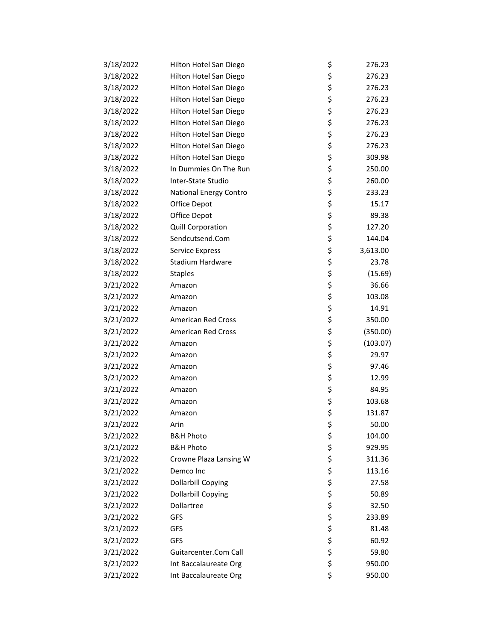| 3/18/2022 | Hilton Hotel San Diego    | \$ | 276.23   |
|-----------|---------------------------|----|----------|
| 3/18/2022 | Hilton Hotel San Diego    | \$ | 276.23   |
| 3/18/2022 | Hilton Hotel San Diego    | \$ | 276.23   |
| 3/18/2022 | Hilton Hotel San Diego    | \$ | 276.23   |
| 3/18/2022 | Hilton Hotel San Diego    | \$ | 276.23   |
| 3/18/2022 | Hilton Hotel San Diego    | \$ | 276.23   |
| 3/18/2022 | Hilton Hotel San Diego    | \$ | 276.23   |
| 3/18/2022 | Hilton Hotel San Diego    | \$ | 276.23   |
| 3/18/2022 | Hilton Hotel San Diego    | \$ | 309.98   |
| 3/18/2022 | In Dummies On The Run     | \$ | 250.00   |
| 3/18/2022 | Inter-State Studio        | \$ | 260.00   |
| 3/18/2022 | National Energy Contro    | \$ | 233.23   |
| 3/18/2022 | Office Depot              | \$ | 15.17    |
| 3/18/2022 | Office Depot              | \$ | 89.38    |
| 3/18/2022 | Quill Corporation         | \$ | 127.20   |
| 3/18/2022 | Sendcutsend.Com           | \$ | 144.04   |
| 3/18/2022 | Service Express           | \$ | 3,613.00 |
| 3/18/2022 | Stadium Hardware          | \$ | 23.78    |
| 3/18/2022 | <b>Staples</b>            | \$ | (15.69)  |
| 3/21/2022 | Amazon                    | \$ | 36.66    |
| 3/21/2022 | Amazon                    | \$ | 103.08   |
| 3/21/2022 | Amazon                    | \$ | 14.91    |
| 3/21/2022 | <b>American Red Cross</b> | \$ | 350.00   |
| 3/21/2022 | <b>American Red Cross</b> | \$ | (350.00) |
| 3/21/2022 | Amazon                    | \$ | (103.07) |
| 3/21/2022 | Amazon                    | \$ | 29.97    |
| 3/21/2022 | Amazon                    | \$ | 97.46    |
| 3/21/2022 | Amazon                    | \$ | 12.99    |
| 3/21/2022 | Amazon                    | \$ | 84.95    |
| 3/21/2022 | Amazon                    | \$ | 103.68   |
| 3/21/2022 | Amazon                    | \$ | 131.87   |
| 3/21/2022 | Arin                      | Ş  | 50.00    |
| 3/21/2022 | <b>B&amp;H Photo</b>      | \$ | 104.00   |
| 3/21/2022 | <b>B&amp;H Photo</b>      | \$ | 929.95   |
| 3/21/2022 | Crowne Plaza Lansing W    | \$ | 311.36   |
| 3/21/2022 | Demco Inc                 | \$ | 113.16   |
| 3/21/2022 | <b>Dollarbill Copying</b> | \$ | 27.58    |
| 3/21/2022 | <b>Dollarbill Copying</b> | \$ | 50.89    |
| 3/21/2022 | Dollartree                | \$ | 32.50    |
| 3/21/2022 | GFS                       | \$ | 233.89   |
| 3/21/2022 | GFS                       | \$ | 81.48    |
| 3/21/2022 | GFS                       | \$ | 60.92    |
| 3/21/2022 | Guitarcenter.Com Call     | \$ | 59.80    |
| 3/21/2022 | Int Baccalaureate Org     | \$ | 950.00   |
| 3/21/2022 | Int Baccalaureate Org     | \$ | 950.00   |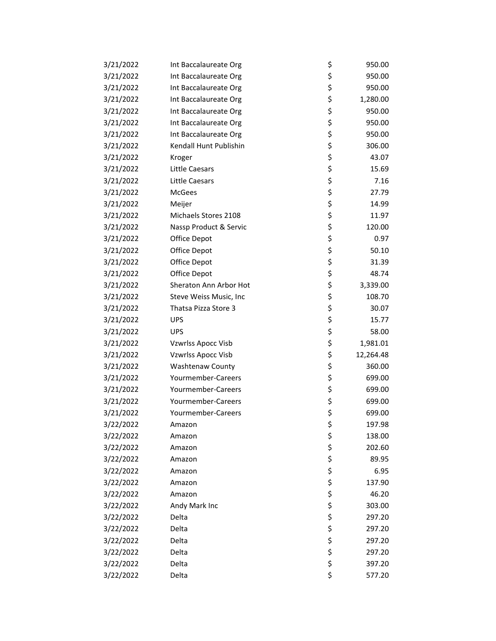| 3/21/2022 | Int Baccalaureate Org     | \$ | 950.00    |
|-----------|---------------------------|----|-----------|
| 3/21/2022 | Int Baccalaureate Org     | \$ | 950.00    |
| 3/21/2022 | Int Baccalaureate Org     | \$ | 950.00    |
| 3/21/2022 | Int Baccalaureate Org     | \$ | 1,280.00  |
| 3/21/2022 | Int Baccalaureate Org     | \$ | 950.00    |
| 3/21/2022 | Int Baccalaureate Org     | \$ | 950.00    |
| 3/21/2022 | Int Baccalaureate Org     | \$ | 950.00    |
| 3/21/2022 | Kendall Hunt Publishin    | \$ | 306.00    |
| 3/21/2022 | Kroger                    | \$ | 43.07     |
| 3/21/2022 | <b>Little Caesars</b>     | \$ | 15.69     |
| 3/21/2022 | Little Caesars            | \$ | 7.16      |
| 3/21/2022 | McGees                    | \$ | 27.79     |
| 3/21/2022 | Meijer                    | \$ | 14.99     |
| 3/21/2022 | Michaels Stores 2108      | \$ | 11.97     |
| 3/21/2022 | Nassp Product & Servic    | \$ | 120.00    |
| 3/21/2022 | Office Depot              | \$ | 0.97      |
| 3/21/2022 | Office Depot              | \$ | 50.10     |
| 3/21/2022 | Office Depot              | \$ | 31.39     |
| 3/21/2022 | Office Depot              | \$ | 48.74     |
| 3/21/2022 | Sheraton Ann Arbor Hot    | \$ | 3,339.00  |
| 3/21/2022 | Steve Weiss Music, Inc    | \$ | 108.70    |
| 3/21/2022 | Thatsa Pizza Store 3      | \$ | 30.07     |
| 3/21/2022 | <b>UPS</b>                | \$ | 15.77     |
| 3/21/2022 | <b>UPS</b>                | \$ | 58.00     |
| 3/21/2022 | <b>Vzwrlss Apocc Visb</b> | \$ | 1,981.01  |
| 3/21/2022 | Vzwrlss Apocc Visb        | \$ | 12,264.48 |
| 3/21/2022 | <b>Washtenaw County</b>   | \$ | 360.00    |
| 3/21/2022 | Yourmember-Careers        | \$ | 699.00    |
| 3/21/2022 | Yourmember-Careers        | \$ | 699.00    |
| 3/21/2022 | Yourmember-Careers        | \$ | 699.00    |
| 3/21/2022 | Yourmember-Careers        | \$ | 699.00    |
| 3/22/2022 | Amazon                    | Ş  | 197.98    |
| 3/22/2022 | Amazon                    | \$ | 138.00    |
| 3/22/2022 | Amazon                    | \$ | 202.60    |
| 3/22/2022 | Amazon                    | \$ | 89.95     |
| 3/22/2022 | Amazon                    | \$ | 6.95      |
| 3/22/2022 | Amazon                    | \$ | 137.90    |
| 3/22/2022 | Amazon                    | \$ | 46.20     |
| 3/22/2022 | Andy Mark Inc             | \$ | 303.00    |
| 3/22/2022 | Delta                     | \$ | 297.20    |
| 3/22/2022 | Delta                     | \$ | 297.20    |
| 3/22/2022 | Delta                     | \$ | 297.20    |
| 3/22/2022 | Delta                     | \$ | 297.20    |
| 3/22/2022 | Delta                     | \$ | 397.20    |
| 3/22/2022 | Delta                     | \$ | 577.20    |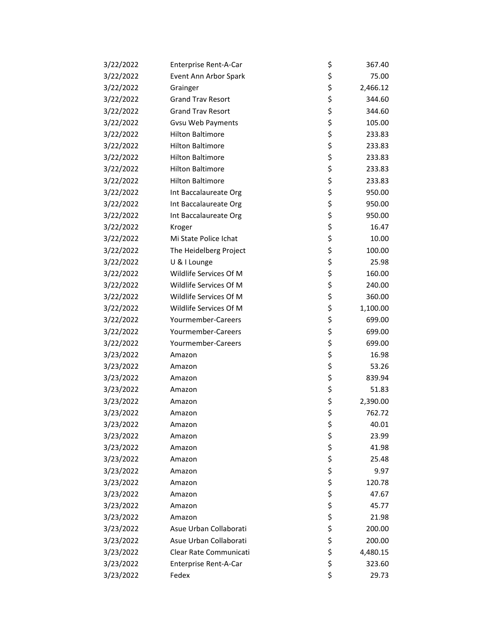| 3/22/2022 | Enterprise Rent-A-Car    | \$ | 367.40   |
|-----------|--------------------------|----|----------|
| 3/22/2022 | Event Ann Arbor Spark    | \$ | 75.00    |
| 3/22/2022 | Grainger                 | \$ | 2,466.12 |
| 3/22/2022 | <b>Grand Trav Resort</b> | \$ | 344.60   |
| 3/22/2022 | <b>Grand Trav Resort</b> | \$ | 344.60   |
| 3/22/2022 | Gvsu Web Payments        | \$ | 105.00   |
| 3/22/2022 | <b>Hilton Baltimore</b>  | \$ | 233.83   |
| 3/22/2022 | <b>Hilton Baltimore</b>  | \$ | 233.83   |
| 3/22/2022 | <b>Hilton Baltimore</b>  | \$ | 233.83   |
| 3/22/2022 | <b>Hilton Baltimore</b>  | \$ | 233.83   |
| 3/22/2022 | <b>Hilton Baltimore</b>  | \$ | 233.83   |
| 3/22/2022 | Int Baccalaureate Org    | \$ | 950.00   |
| 3/22/2022 | Int Baccalaureate Org    | \$ | 950.00   |
| 3/22/2022 | Int Baccalaureate Org    | \$ | 950.00   |
| 3/22/2022 | Kroger                   | \$ | 16.47    |
| 3/22/2022 | Mi State Police Ichat    | \$ | 10.00    |
| 3/22/2022 | The Heidelberg Project   | \$ | 100.00   |
| 3/22/2022 | U & I Lounge             | \$ | 25.98    |
| 3/22/2022 | Wildlife Services Of M   | \$ | 160.00   |
| 3/22/2022 | Wildlife Services Of M   | \$ | 240.00   |
| 3/22/2022 | Wildlife Services Of M   | \$ | 360.00   |
| 3/22/2022 | Wildlife Services Of M   | \$ | 1,100.00 |
| 3/22/2022 | Yourmember-Careers       | \$ | 699.00   |
| 3/22/2022 | Yourmember-Careers       | \$ | 699.00   |
| 3/22/2022 | Yourmember-Careers       | \$ | 699.00   |
| 3/23/2022 | Amazon                   | \$ | 16.98    |
| 3/23/2022 | Amazon                   | \$ | 53.26    |
| 3/23/2022 | Amazon                   | \$ | 839.94   |
| 3/23/2022 | Amazon                   | \$ | 51.83    |
| 3/23/2022 | Amazon                   | \$ | 2,390.00 |
| 3/23/2022 | Amazon                   | \$ | 762.72   |
| 3/23/2022 | Amazon                   | Ş  | 40.01    |
| 3/23/2022 | Amazon                   | \$ | 23.99    |
| 3/23/2022 | Amazon                   | \$ | 41.98    |
| 3/23/2022 | Amazon                   | \$ | 25.48    |
| 3/23/2022 | Amazon                   | \$ | 9.97     |
| 3/23/2022 | Amazon                   | \$ | 120.78   |
| 3/23/2022 | Amazon                   | \$ | 47.67    |
| 3/23/2022 | Amazon                   | \$ | 45.77    |
| 3/23/2022 | Amazon                   | \$ | 21.98    |
| 3/23/2022 | Asue Urban Collaborati   | \$ | 200.00   |
| 3/23/2022 | Asue Urban Collaborati   | \$ | 200.00   |
| 3/23/2022 | Clear Rate Communicati   | \$ | 4,480.15 |
| 3/23/2022 | Enterprise Rent-A-Car    | \$ | 323.60   |
| 3/23/2022 | Fedex                    | \$ | 29.73    |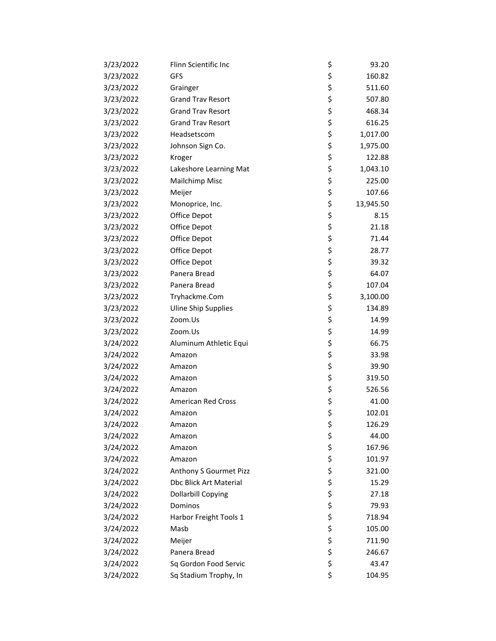| 3/23/2022 | Flinn Scientific Inc          | \$<br>93.20     |
|-----------|-------------------------------|-----------------|
| 3/23/2022 | GFS                           | \$<br>160.82    |
| 3/23/2022 | Grainger                      | \$<br>511.60    |
| 3/23/2022 | <b>Grand Trav Resort</b>      | \$<br>507.80    |
| 3/23/2022 | <b>Grand Trav Resort</b>      | \$<br>468.34    |
| 3/23/2022 | <b>Grand Trav Resort</b>      | \$<br>616.25    |
| 3/23/2022 | Headsetscom                   | \$<br>1,017.00  |
| 3/23/2022 | Johnson Sign Co.              | \$<br>1,975.00  |
| 3/23/2022 | Kroger                        | \$<br>122.88    |
| 3/23/2022 | Lakeshore Learning Mat        | \$<br>1,043.10  |
| 3/23/2022 | Mailchimp Misc                | \$<br>225.00    |
| 3/23/2022 | Meijer                        | \$<br>107.66    |
| 3/23/2022 | Monoprice, Inc.               | \$<br>13,945.50 |
| 3/23/2022 | Office Depot                  | \$<br>8.15      |
| 3/23/2022 | Office Depot                  | \$<br>21.18     |
| 3/23/2022 | Office Depot                  | \$<br>71.44     |
| 3/23/2022 | Office Depot                  | \$<br>28.77     |
| 3/23/2022 | Office Depot                  | \$<br>39.32     |
| 3/23/2022 | Panera Bread                  | \$<br>64.07     |
| 3/23/2022 | Panera Bread                  | \$<br>107.04    |
| 3/23/2022 | Tryhackme.Com                 | \$<br>3,100.00  |
| 3/23/2022 | <b>Uline Ship Supplies</b>    | \$<br>134.89    |
| 3/23/2022 | Zoom.Us                       | \$<br>14.99     |
| 3/23/2022 | Zoom.Us                       | \$<br>14.99     |
| 3/24/2022 | Aluminum Athletic Equi        | \$<br>66.75     |
| 3/24/2022 | Amazon                        | \$<br>33.98     |
| 3/24/2022 | Amazon                        | \$<br>39.90     |
| 3/24/2022 | Amazon                        | \$<br>319.50    |
| 3/24/2022 | Amazon                        | \$<br>526.56    |
| 3/24/2022 | <b>American Red Cross</b>     | \$<br>41.00     |
| 3/24/2022 | Amazon                        | \$<br>102.01    |
| 3/24/2022 | Amazon                        | \$<br>126.29    |
| 3/24/2022 | Amazon                        | \$<br>44.00     |
| 3/24/2022 | Amazon                        | \$<br>167.96    |
| 3/24/2022 | Amazon                        | \$<br>101.97    |
| 3/24/2022 | Anthony S Gourmet Pizz        | \$<br>321.00    |
| 3/24/2022 | <b>Dbc Blick Art Material</b> | \$<br>15.29     |
| 3/24/2022 | <b>Dollarbill Copying</b>     | \$<br>27.18     |
| 3/24/2022 | Dominos                       | \$<br>79.93     |
| 3/24/2022 | Harbor Freight Tools 1        | \$<br>718.94    |
| 3/24/2022 | Masb                          | \$<br>105.00    |
| 3/24/2022 | Meijer                        | \$<br>711.90    |
| 3/24/2022 | Panera Bread                  | \$<br>246.67    |
| 3/24/2022 | Sq Gordon Food Servic         | \$<br>43.47     |
| 3/24/2022 | Sq Stadium Trophy, In         | \$<br>104.95    |